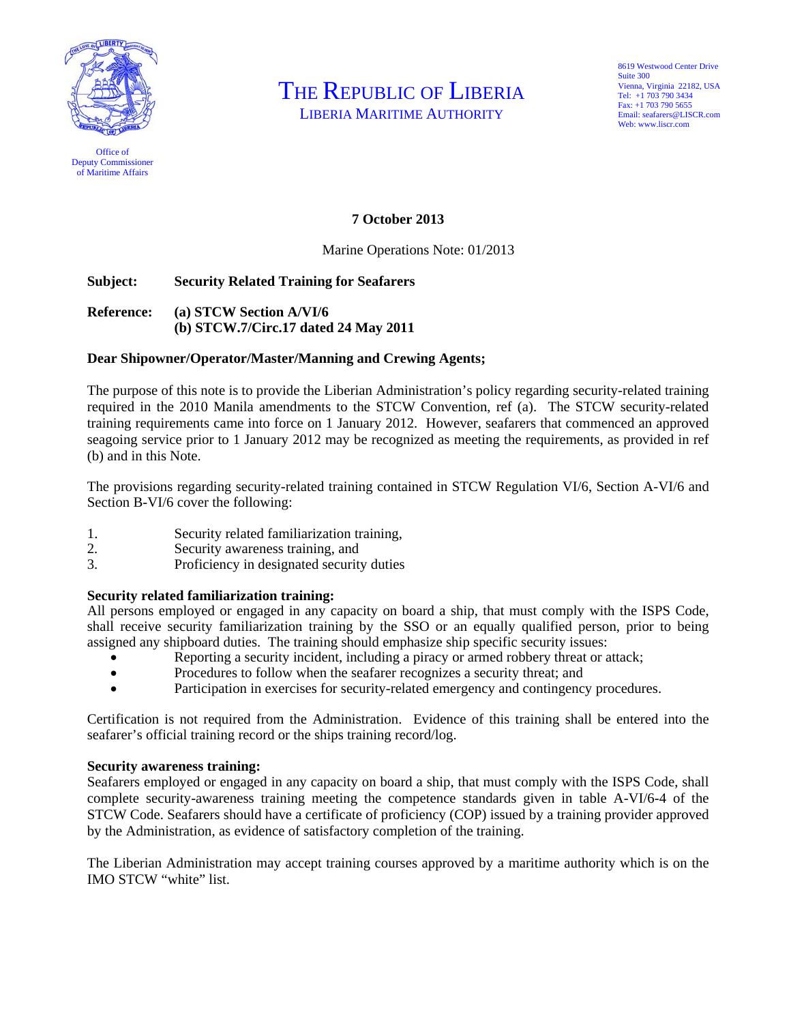

Office of Deputy Commissioner of Maritime Affairs

THE REPUBLIC OF LIBERIA

LIBERIA MARITIME AUTHORITY

8619 Westwood Center Drive Suite 300 Vienna, Virginia 22182, USA Tel: +1 703 790 3434 Fax: +1 703 790 5655 Email: seafarers@LISCR.com Web: www.liscr.com

# **7 October 2013**

Marine Operations Note: 01/2013

# **Subject: Security Related Training for Seafarers**

# **Reference: (a) STCW Section A/VI/6 (b) STCW.7/Circ.17 dated 24 May 2011**

## **Dear Shipowner/Operator/Master/Manning and Crewing Agents;**

The purpose of this note is to provide the Liberian Administration's policy regarding security-related training required in the 2010 Manila amendments to the STCW Convention, ref (a). The STCW security-related training requirements came into force on 1 January 2012. However, seafarers that commenced an approved seagoing service prior to 1 January 2012 may be recognized as meeting the requirements, as provided in ref (b) and in this Note.

The provisions regarding security-related training contained in STCW Regulation VI/6, Section A-VI/6 and Section B-VI/6 cover the following:

- 1. Security related familiarization training,
- 2. Security awareness training, and
- 3. Proficiency in designated security duties

# **Security related familiarization training:**

All persons employed or engaged in any capacity on board a ship, that must comply with the ISPS Code, shall receive security familiarization training by the SSO or an equally qualified person, prior to being assigned any shipboard duties. The training should emphasize ship specific security issues:

- Reporting a security incident, including a piracy or armed robbery threat or attack;
- Procedures to follow when the seafarer recognizes a security threat; and
- Participation in exercises for security-related emergency and contingency procedures.

Certification is not required from the Administration. Evidence of this training shall be entered into the seafarer's official training record or the ships training record/log.

## **Security awareness training:**

Seafarers employed or engaged in any capacity on board a ship, that must comply with the ISPS Code, shall complete security-awareness training meeting the competence standards given in table A-VI/6-4 of the STCW Code. Seafarers should have a certificate of proficiency (COP) issued by a training provider approved by the Administration, as evidence of satisfactory completion of the training.

The Liberian Administration may accept training courses approved by a maritime authority which is on the IMO STCW "white" list.